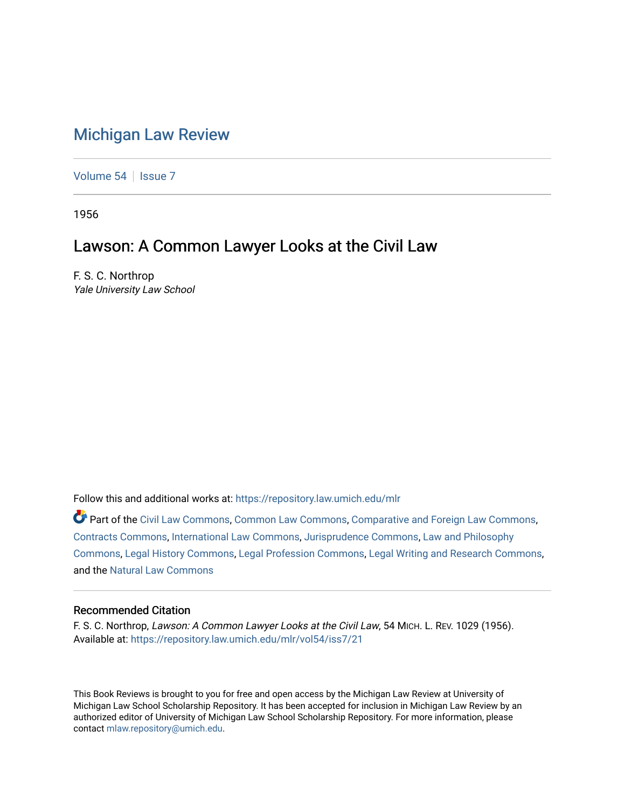## [Michigan Law Review](https://repository.law.umich.edu/mlr)

[Volume 54](https://repository.law.umich.edu/mlr/vol54) | [Issue 7](https://repository.law.umich.edu/mlr/vol54/iss7)

1956

## Lawson: A Common Lawyer Looks at the Civil Law

F. S. C. Northrop Yale University Law School

Follow this and additional works at: [https://repository.law.umich.edu/mlr](https://repository.law.umich.edu/mlr?utm_source=repository.law.umich.edu%2Fmlr%2Fvol54%2Fiss7%2F21&utm_medium=PDF&utm_campaign=PDFCoverPages) 

Part of the [Civil Law Commons](http://network.bepress.com/hgg/discipline/835?utm_source=repository.law.umich.edu%2Fmlr%2Fvol54%2Fiss7%2F21&utm_medium=PDF&utm_campaign=PDFCoverPages), [Common Law Commons](http://network.bepress.com/hgg/discipline/1120?utm_source=repository.law.umich.edu%2Fmlr%2Fvol54%2Fiss7%2F21&utm_medium=PDF&utm_campaign=PDFCoverPages), [Comparative and Foreign Law Commons](http://network.bepress.com/hgg/discipline/836?utm_source=repository.law.umich.edu%2Fmlr%2Fvol54%2Fiss7%2F21&utm_medium=PDF&utm_campaign=PDFCoverPages), [Contracts Commons,](http://network.bepress.com/hgg/discipline/591?utm_source=repository.law.umich.edu%2Fmlr%2Fvol54%2Fiss7%2F21&utm_medium=PDF&utm_campaign=PDFCoverPages) [International Law Commons,](http://network.bepress.com/hgg/discipline/609?utm_source=repository.law.umich.edu%2Fmlr%2Fvol54%2Fiss7%2F21&utm_medium=PDF&utm_campaign=PDFCoverPages) [Jurisprudence Commons](http://network.bepress.com/hgg/discipline/610?utm_source=repository.law.umich.edu%2Fmlr%2Fvol54%2Fiss7%2F21&utm_medium=PDF&utm_campaign=PDFCoverPages), [Law and Philosophy](http://network.bepress.com/hgg/discipline/1299?utm_source=repository.law.umich.edu%2Fmlr%2Fvol54%2Fiss7%2F21&utm_medium=PDF&utm_campaign=PDFCoverPages)  [Commons](http://network.bepress.com/hgg/discipline/1299?utm_source=repository.law.umich.edu%2Fmlr%2Fvol54%2Fiss7%2F21&utm_medium=PDF&utm_campaign=PDFCoverPages), [Legal History Commons,](http://network.bepress.com/hgg/discipline/904?utm_source=repository.law.umich.edu%2Fmlr%2Fvol54%2Fiss7%2F21&utm_medium=PDF&utm_campaign=PDFCoverPages) [Legal Profession Commons](http://network.bepress.com/hgg/discipline/1075?utm_source=repository.law.umich.edu%2Fmlr%2Fvol54%2Fiss7%2F21&utm_medium=PDF&utm_campaign=PDFCoverPages), [Legal Writing and Research Commons](http://network.bepress.com/hgg/discipline/614?utm_source=repository.law.umich.edu%2Fmlr%2Fvol54%2Fiss7%2F21&utm_medium=PDF&utm_campaign=PDFCoverPages), and the [Natural Law Commons](http://network.bepress.com/hgg/discipline/1263?utm_source=repository.law.umich.edu%2Fmlr%2Fvol54%2Fiss7%2F21&utm_medium=PDF&utm_campaign=PDFCoverPages)

## Recommended Citation

F. S. C. Northrop, Lawson: A Common Lawyer Looks at the Civil Law, 54 MICH. L. REV. 1029 (1956). Available at: [https://repository.law.umich.edu/mlr/vol54/iss7/21](https://repository.law.umich.edu/mlr/vol54/iss7/21?utm_source=repository.law.umich.edu%2Fmlr%2Fvol54%2Fiss7%2F21&utm_medium=PDF&utm_campaign=PDFCoverPages) 

This Book Reviews is brought to you for free and open access by the Michigan Law Review at University of Michigan Law School Scholarship Repository. It has been accepted for inclusion in Michigan Law Review by an authorized editor of University of Michigan Law School Scholarship Repository. For more information, please contact [mlaw.repository@umich.edu](mailto:mlaw.repository@umich.edu).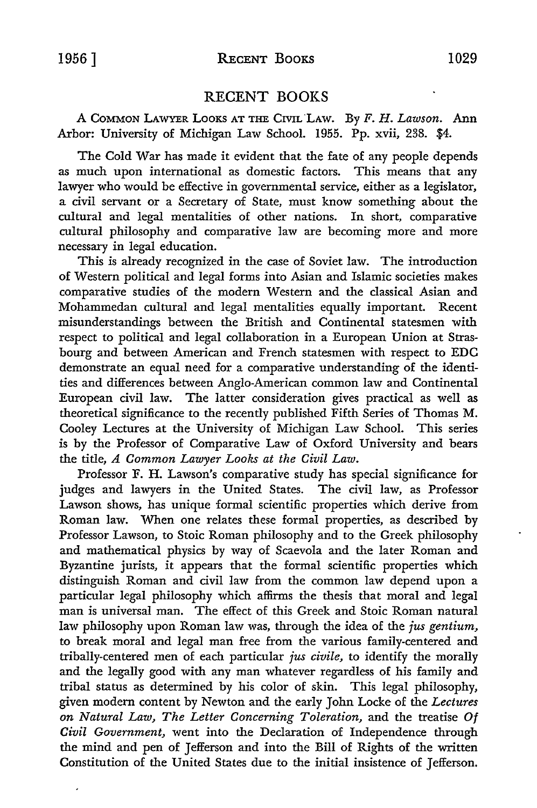## RECENT BOOKS

A COMMON LAWYER LOOKS AT THE CIVIL LAW. By F. H. Lawson. Ann Arbor: University of Michigan Law School. 1955. Pp. xvii, 238. \$4.

The Cold War has made it evident that the fate of any people depends as much upon international as domestic factors. This means that any lawyer who would be effective in governmental service, either as a legislator, a civil servant or a Secretary of *State,* must know something about the cultural and legal mentalities of other nations. In short, comparative cultural philosophy and comparative law are becoming more and more necessary in legal education.

This is already recognized in the case of Soviet law. The introduction of Western political and legal forms into Asian and Islamic societies makes comparative studies of the modern Western and the classical Asian and Mohammedan cultural and legal mentalities equally important. Recent misunderstandings between the British and Continental statesmen with respect to political and legal collaboration in a European Union at Strasbourg and between American and French statesmen with respect to EDC demonstrate an equal need for a comparative understanding of the identities and differences between Anglo-American common law and Continental European civil law. The latter consideration gives practical as well as theoretical significance to the recently published Fifth Series of Thomas M. Cooley Lectures at the University of Michigan Law School. This series is by the Professor of Comparative Law of Oxford University and bears the title, *A Common Lawyer Looks at the Civil Law.* 

Professor F. H. Lawson's comparative study has special significance for judges and lawyers in the United States. The civil law, as Professor Lawson shows, has unique formal scientific properties which derive from Roman law. When one relates these formal properties, as described by Professor Lawson, to Stoic Roman philosophy and to the Greek philosophy and mathematical physics by way of Scaevola and the later Roman and Byzantine jurists, it appears that the formal scientific properties which distinguish Roman and civil law from the common law depend upon a particular legal philosophy which affirms the thesis that moral and legal man is universal man. The effect of this Greek and Stoic Roman natural law philosophy upon Roman law was, through the idea of the *jus gentium,*  to break moral and legal man free from the various family-centered and tribally-centered men of each particular *jus civile,* to identify the morally and the legally good with any man whatever regardless of his family and tribal status as determined by his color of skin. This legal philosophy, given modern content by Newton and the early John Locke of the *Lectures on Natural Law, The Letter Concerning Toleration,* and the treatise *Of Civil Government,* went into the Declaration of Independence through the mind and pen of Jefferson and into the Bill of Rights of the written Constitution of the United States due to the initial insistence of Jefferson.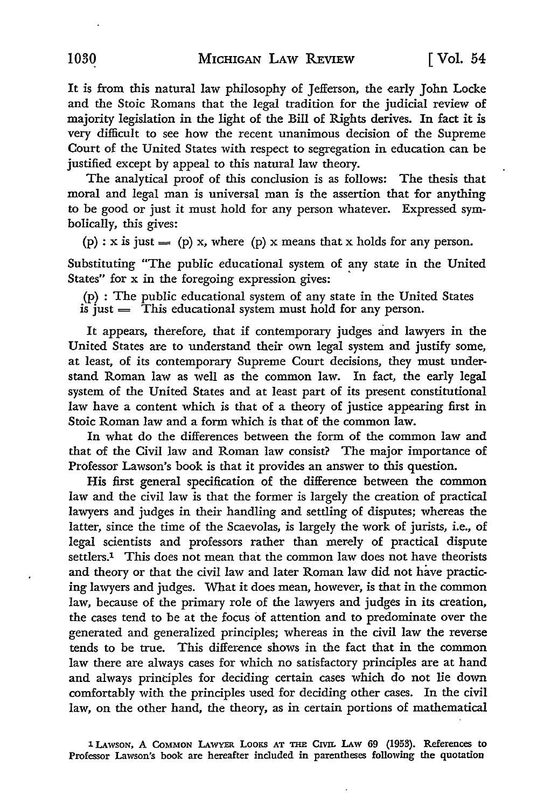It is from this natural law philosophy of Jefferson, the early John Locke and the Stoic Romans that the legal tradition for the judicial review of majority legislation in the light of the Bill of Rights derives. In fact it is very difficult to see how the recent unanimous decision of the Supreme Court of the United States with respect to segregation in education can be justified except by appeal to this natural law theory.

The analytical proof of this conclusion is as follows: The thesis that moral and legal man is universal man is the assertion that for anything to be good or just it must hold for any person whatever. Expressed symbolically, this gives:

(p) : x is just  $=$  (p) x, where (p) x means that x holds for any person.

Substituting "The public educational system of any state in the United States" for x in the foregoing expression gives:

(p) : The public educational system of any state in the United States is just  $=$  This educational system must hold for any person.

It appears, therefore, that if contemporary judges and lawyers in the United States are to understand their own legal system and justify some, at least, of its contemporary Supreme Court decisions, they must understand Roman law as well as the common law. In fact, the early legal system of the United States and at least part of its present constitutional law have a content which is that of a theory of justice appearing first in Stoic Roman law and a form which is that of the common law.

In what do the differences between the form of the common law and that of the Civil law and Roman law consist? The major importance of Professor Lawson's book is that it provides an answer to this question.

His first general specification of the difference between the common law and the civil law is that the former is largely the creation of practical lawyers and judges in their handling and settling of disputes; whereas the latter, since the time of the Scaevolas, is largely the work of jurists, i.e., of legal scientists and professors rather than merely of practical dispute settlers.<sup>1</sup> This does not mean that the common law does not have theorists and theory or that the civil law and later Roman law did not have practicing lawyers and judges. What it does mean, however, is that in the common law, because of the primary role of the lawyers and judges in its creation, the cases tend to be at the focus of attention and to predominate over the generated and generalized principles; whereas in the civil law the reverse tends to be true. This difference shows in the fact that in the common law there are always cases for which no satisfactory principles are at hand and always printiples for deciding certain cases which do not lie down comfortably with the principles used for deciding other cases. In the civil law, on the other hand, the theory, as in certain portions of mathematical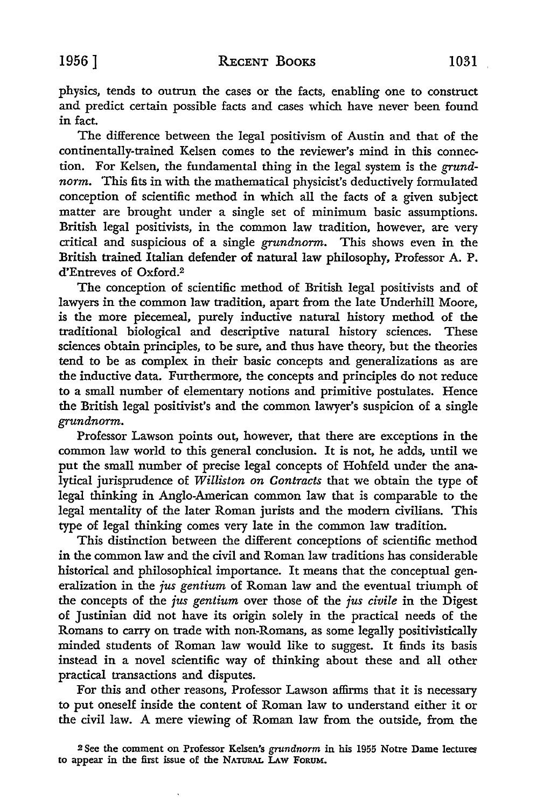physics, tends to outrun the cases or the facts, enabling one to construct and predict certain possible facts and cases which have never been found in fact.

The difference between the legal positivism of Austin and that of the continentally-trained Kelsen comes to the reviewer's mind in this connection. For Kelsen, the fundamental thing in the legal system is the *grundnorm.* This fits in with the mathematical physicist's deductively formulated conception of scientific method in which all the facts of a given subject matter are brought under a single set of minimum basic assumptions. British legal positivists, in the common law tradition, however, are very critical and suspicious of a single *grundnorm.* This shows even in the British trained Italian defender of natural law philosophy, Professor A. P. d'Entreves of Oxford.<sup>2</sup>

The conception of scientific method of British legal positivists and of lawyers in the common law tradition, apart from the late Underhill Moore, is the more piecemeal, purely inductive natural history method of the traditional biological and descriptive natural history sciences. These sciences obtain principles, to be sure, and thus have theory, but the theories tend to be as complex in their basic concepts and generalizations as are the inductive data. Furthermore, the concepts and principles do not reduce to a small number of elementary notions and primitive postulates. Hence the British legal positivist's and the common lawyer's suspicion of a single *g;rundnorm.* 

Professor Lawson points out, however, that there are exceptions in the common law world to this general conclusion. It is not, he adds, until we put the small number of precise legal concepts of Hohfeld under the analytical jurisprudence of *Williston on Contracts* that we obtain the type of legal thinking in Anglo-American common law that is comparable to the legal mentality of the later Roman jurists and the modern civilians. This type of legal thinking comes very late in the common law tradition.

This distinction between the different conceptions of scientific method in the common law and the civil and Roman law traditions has considerable historical and philosophical importance. It means that the conceptual generalization in the *jus gentium* of Roman law and the eventual triumph of the concepts of the *jus gentium* over those of the *jus civile* in the Digest of Justinian did not have its origin solely in the practical needs of the Romans to carry on trade with non-Romans, as some legally positivistically minded students of Roman law would like to suggest. It finds its basis instead in a novel scientific way of thinking about these and all other practical transactions and disputes.

For this and other reasons, Professor Lawson affirms that it is necessary to put oneself inside the content of Roman law to understand either it or the civil law. A mere viewing of Roman law from the outside, from the

<sup>2</sup> See the comment on Professor Kelsen's *grundnorm* in his 1955 Notre Dame lectures to appear in the first issue of the NATURAL LAw FORUM.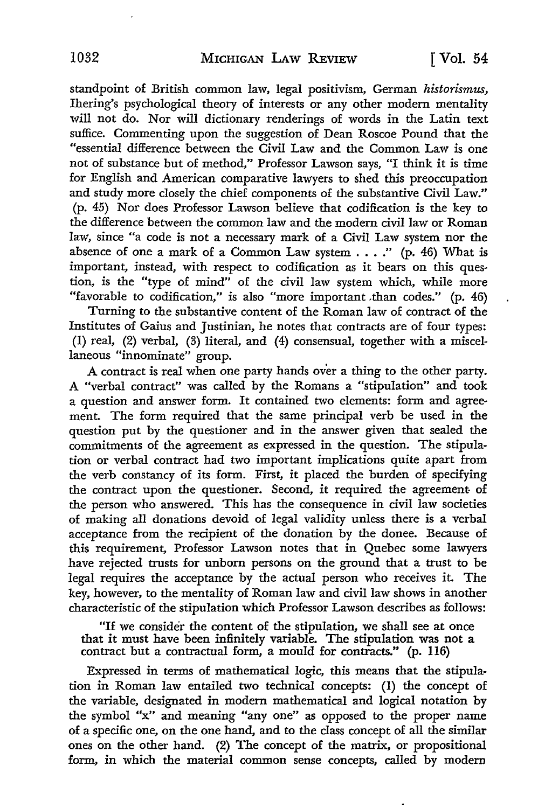standpoint of British common law, legal positivism, German *historismus,*  Ihering's psychological theory of interests or any other modem mentality will not do. Nor will dictionary renderings of words in the Latin text suffice. Commenting upon the suggestion of Dean Roscoe Pound that the "essential difference between the Civil Law and the Common Law is one not of substance but of method," Professor Lawson says, "I think it is time for English and American comparative lawyers to shed this preoccupation and study more closely the chief components of the substantive Civil Law." (p. 45) Nor does Professor Lawson believe that codification is the key to the difference between the common law and the modem civil law or Roman law, since "a code is not a necessary mark of a Civil Law system nor the absence of one a mark of a Common Law system  $\ldots$ ." (p. 46) What is important, instead, with respect to codification as it bears on this question, is the "type of mind" of the civil law system which, while more "favorable to codification," is also "more important .than codes." (p. 46)

Turning to the substantive content of the Roman law of contract of the Institutes of Gaius and Justinian, he notes that contracts are of four types: (1) real, (2) verbal, (3) literal, and (4) consensual, together with a miscellaneous "innominate" group.

A contract is real when one party hands over a thing to the other party. A "verbal contract" was called by the Romans a "stipulation" and took a question and answer form. It contained two elements: form and agreement. The form required that the same principal verb be used in the question put by the questioner and in the answer given that sealed the commitments of the agreement as expressed in the question. The stipulation or verbal contract had two important implications quite apart from the verb constancy of its form. First, it placed the burden of specifying the contract upon the questioner. Second, it required the agreement of the person who answered. This has the consequence in civil law societies of making all donations devoid of legal validity unless there is a verbal acceptance from the recipient of the donation by the donee. Because of this requirement, Professor Lawson notes that in Quebec some lawyers have rejected trusts for unborn persons on the ground that a trust to be legal requires the acceptance by the actual person who receives it. The key, however, to the mentality of Roman law and civil law shows in another characteristic of the stipulation which Professor Lawson describes as follows:

"If we consider the content of the stipulation, we shall see at once that it must have been infinitely variable. The stipulation was not a contract but a contractual form, a mould for contracts." (p. 116)

Expressed in terms of mathematical logic, this means that the stipulation in Roman law entailed two technical concepts: (1) the concept of the variable, designated in modem mathematical and logical notation by the symbol "x" and meaning "any one" as opposed to the proper name of a specific one, on the one hand, and to the class concept of all the similar ones on the other hand. (2) The concept of the matrix, or propositional form, in which the material common sense concepts, called by modern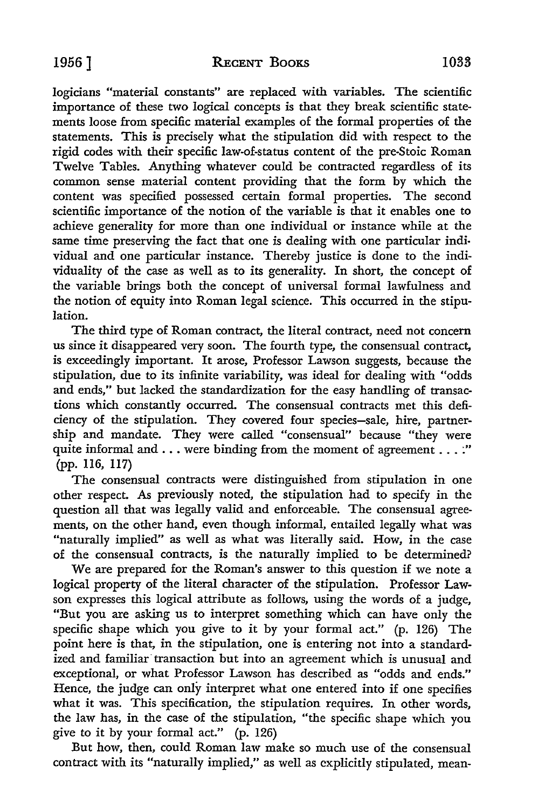logicians "material constants" are replaced with variables. The scientific importance of these two logical concepts is that they break scientific statements loose from specific material examples of the formal properties of the statements. This is precisely what the stipulation did with respect to the rigid codes with their specific law-of-status content of the pre-Stoic Roman Twelve Tables. Anything whatever could be contracted regardless of its common sense material content providing that the form by which the content was specified possessed certain formal properties. The second scientific importance of the notion of the variable is that it enables one to achieve generality for more than one individual or instance while at the same time preserving the fact that one is dealing with one particular individual and one particular instance. Thereby justice is done to the individuality of the case as well as to its generality. In short, the concept of the variable brings both the concept of universal formal lawfulness and the notion of equity into Roman legal science. This occurred in the stipulation.

The third type of Roman contract, the literal contract, need not concern us since it disappeared very soon. The fourth type, the consensual contract, is exceedingly important. It arose, Professor Lawson suggests, because the stipulation, due to its infinite variability, was ideal for dealing with "odds and ends," but lacked the standardization for the easy handling of transactions which constantly occurred. The consensual contracts met this deficiency of the stipulation. They covered four species-sale, hire, partnership and mandate. They were called "consensual" because "they were quite informal and ... were binding from the moment of agreement ... :" (pp. 116, 117)

The consensual contracts were distinguished from stipulation in one other respect. As previously noted, the stipulation had to specify in the question all that was legally valid and enforceable. The consensual agreements, on the other hand, even though informal, entailed legally what was "naturally implied" as well as what was literally said. How, in the case of the consensual contracts, is the naturally implied to be determined?

We are prepared for the Roman's answer to this question if we note a logical property of the literal character of the stipulation. Professor Lawson expresses this logical attribute as follows, using the words of a judge, "But you are asking us to interpret something which can have only the specific shape which you give to it by your formal act." (p. 126) The point here is that, in the stipulation, one is entering not into a standardized and familiar transaction but into an agreement which is unusual and exceptional, or what Professor Lawson has described as "odds and ends." Hence, the judge can only interpret what one entered into if one specifies what it was. This specification, the stipulation requires. In other words, the law has, in the case of the stipulation, "the specific shape which you give to it by your formal act." (p. 126)

But how, then, could Roman law make so much use of the consensual contract with its "naturally implied," as well as explicitly stipulated, mean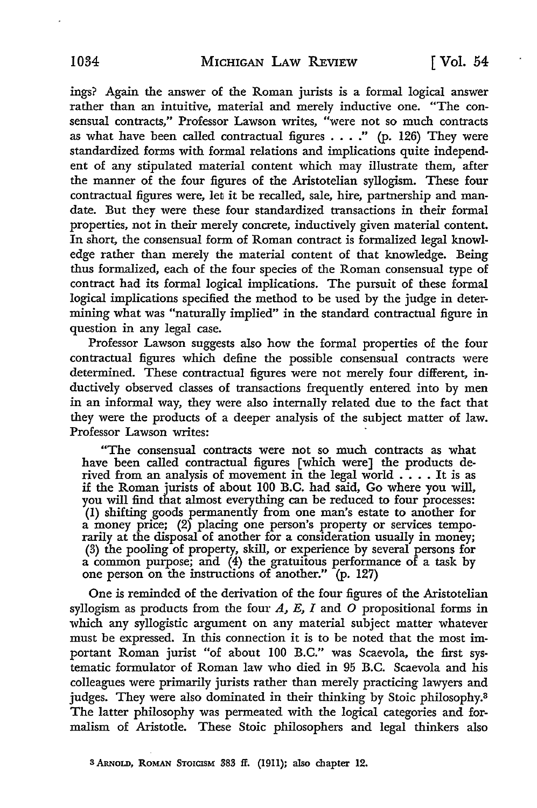ings? Again the answer of the Roman jurists is a formal logical answer rather than an intuitive, material and merely inductive one. "The consensual contracts," Professor Lawson writes, "were not so much contracts as what have been called contractual figures  $\dots$ ." (p. 126) They were standardized forms with formal relations and implications quite independent of any stipulated material content which may illustrate them, after the manner of the four figures of the Aristotelian syllogism. These four contractual figures were, let it be recalled, sale, hire, partnership and mandate. But they were these four standardized transactions in their formal properties, not in their merely concrete, inductively given material content. In short, the consensual form of Roman contract is formalized legal knowledge rather than merely the material content of that knowledge. Being thus formalized, each of the four species of the Roman consensual type of contract had its formal logical implications. The pursuit of these formal logical implications specified the method to be used by the judge in determining what was "naturally implied" in the standard contractual figure in question in any legal case.

Professor Lawson suggests also how the formal properties of the four contractual figures which define the possible consensual contracts were determined. These contractual figures were not merely four different, inductively observed classes of transactions frequently entered into by men in an informal way, they were also internally related due to the fact that they were the products of a deeper analysis of the subject matter of law. Professor Lawson writes:

"The consensual contracts were not so much contracts as what have been called contractual figures [which were] the products de-rived from an analysis of movement in the legal world .... It is as if the Roman jurists of about 100 B.C. had said, Go where you will, you will find that almost everything can be reduced to four processes: (1) shifting goods permanently from one man's estate to another for a money price; (2) placing one person's property or services temporarily at the disposal of another for a consideration usually in money; (3) the pooling of property, skill, or experience by several persons for a common purpose; and (4) the gratuitous performance of a task by one person on the instructions of another." (p. 127)

One is reminded of the derivation of the four figures of the Aristotelian syllogism as products from the four  $A$ ,  $E$ ,  $I$  and  $O$  propositional forms in which any syllogistic argument on any material subject matter whatever must be expressed. In this connection it is to be noted that the most important Roman jurist "of about 100 B.C." was Scaevola, the first systematic formulator of Roman law who died in 95 B.C. Scaevola and his colleagues were primarily jurists rather than mere1y practicing lawyers and judges. They were also dominated in their thinking by Stoic philosophy.<sup>3</sup> The latter philosophy was permeated with the logical categories and formalism of Aristotle. These Stoic philosophers and legal thinkers also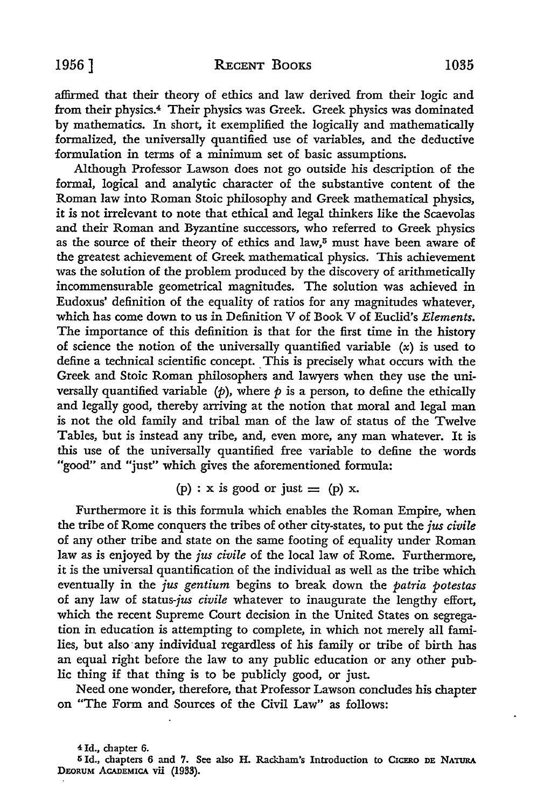affirmed that their theory of ethics and law derived from their logic and from their physics.4 Their physics was Greek. Greek physics was dominated by mathematics. In short, it exemplified the logically and mathematically formalized, the universally quantified use of variables, and the deductive formulation in terms of a minimum set of basic assumptions.

Although Professor Lawson does not go outside his description of the formal, logical and analytic character of the substantive content of the Roman law into Roman Stoic philosophy and Greek mathematical physics, it is not irrelevant to note that ethical and legal thinkers like the Scaevolas and their Roman and Byzantine successors, who referred to Greek physics as the source of their theory of ethics and law,5 must have been aware of the greatest achievement of Greek mathematical physics. This achievement was the solution of the problem produced by the discovery of arithmetically incommensurable geometrical magnitudes. The solution was achieved in Eudoxus' definition of the equality of ratios for any magnitudes whatever, which has come down to us in Definition V of Book V of Euclid's *Elements.*  The importance of this definition is that for the first time in the history of science the notion of the universally quantified variable  $(x)$  is used to define a technical scientific concept. This is precisely what occurs with the Greek and Stoic Roman philosophers and lawyers when they use the universally quantified variable  $(p)$ , where p is a person, to define the ethically and legally good, thereby arriving at the notion that moral and legal man is not the old family and tribal man of the law of status of the Twelve Tables, but is instead any tribe, and, even more, any man whatever. It is this use of the universally quantified free variable to define the words "good" and "just" which gives the aforementioned formula:

(p) : x is good or just  $=$  (p) x.

Furthermore it is this formula which enables the Roman Empire, when the tribe of Rome conquers the tribes of other city-states, to put the *jus civile*  of any other tribe and state on the same footing of equality under Roman law as is enjoyed by the *jus civile* of the local law of Rome. Furthermore, it is the universal quantification of the individual as well as the tribe which eventually in the *jus gentium* begins to break down the *patria potestas*  of any law of status-jus *civile* whatever to inaugurate the lengthy effort, which the recent Supreme Court decision in the United States on segregation in education is attempting to complete, in which not merely all families, but also any individual regardless of his family or tribe of birth has an equal right before the law to any public education or any other public thing if that thing is to be publicly good, or just.

Need one wonder, therefore, that Professor Lawson concludes his chapter on "The Form and Sources of the Civil Law" as follows:

<sup>4</sup> Id., chapter 6.

IS Id., chapters 6 and 7. See also H. Rackham's Introduction to CICERO DE NATURA DEORUM ACADEMICA Vii (1933).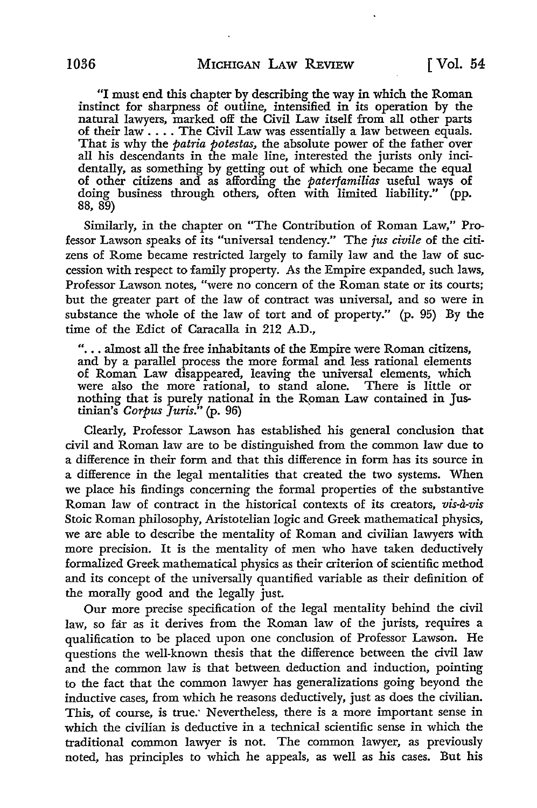"I must end this chapter by describing the way in which the Roman instinct for sharpness of outline, intensified in its operation by the natural lawyers, marked off the **Civil** Law itself from all other parts of their  $law' \ldots$ . The Civil Law was essentially a law between equals. That is why the *patria potestas,* the absolute power of the father over all his descendants in the male line, interested the jurists only incidentally, as something by getting out of which one became the equal of other citizens and as affording the *paterfamilias* useful ways of doing business through others, often with limited liability." (pp. 88, 89)

Similarly, in the chapter on "The Contribution of Roman Law," Professor Lawson speaks of its "universal tendency." The *jus civile* of the citizens of Rome became restricted largely to family law and the law of succession with respect to family property. As the Empire expanded, such laws, Professor Lawson *notes,* "were no concern of the Roman state or its courts; but the greater part of the law of contract was universal, and so were in substance the whole of the law of tort and of property." (p. 95) By the time of the Edict of Caracalla in 212 A.D.,

"... almost all the free inhabitants of the Empire were Roman citizens, and by a parallel process the more formal and less rational elements of Roman Law disappeared, leaving the universal elements, which were also the more rational, to stand alone. There is little or nothing that is purely national in the Roman Law contained in Justinian's *Corpus Juris."* (p. 96)

Clearly, Professor Lawson has established his general conclusion that civil and Roman law are to be distinguished from the common law due to a difference in their form and that this difference in form has its source in a difference in the legal mentalities that created the two systems. When we place his findings concerning the formal properties of the substantive Roman law of contract in the historical contexts of its creators, *vis-a-vis*  Stoic Roman philosophy, Aristotelian logic and Greek mathematical physics, we are able to describe the mentality of Roman and civilian lawyers with more precision. It is the mentality of men who have taken deductively formalized Greek mathematical physics as their criterion of scientific method and its concept of the universally quantified variable as their definition of the morally good and the legally just.

Our more precise specification of the legal mentality behind the civil law, so far as it derives from the Roman law of the jurists, requires a qualification to be placed upon one conclusion of Professor Lawson. He questions the well-known thesis that the difference between the civil law and the common law is that between deduction and induction, pointing to the fact that the common lawyer has generalizations going beyond the inductive cases, from which he reasons deductively, just as does the civilian. This, of course, is *true:* Nevertheless, there is a more important sense in which the civilian is deductive in a technical scientific sense in which the traditional common lawyer is not. The common lawyer, as previously noted, has principles to which he appeals, as well as his cases. But his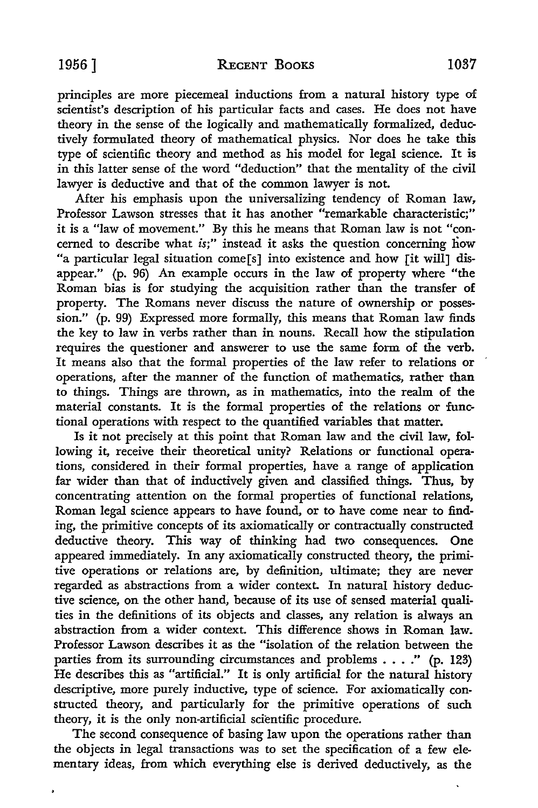principles are more piecemeal inductions from a natural history type of scientist's description of his particular facts and cases. He does not have theory in the sense of the logically and mathematically formalized, deductively formulated theory of mathematical physics. Nor does he take this type of scientific theory and method as his model for legal science. It is in this latter sense of the word "deduction" that the mentality of the civil lawyer is deductive and that of the common lawyer is not.

After his emphasis upon the universalizing tendency of Roman law, Professor Lawson stresses that it has another "remarkable characteristic:" it is a "law of movement." By this he means that Roman law is not "concerned to describe what *is*;" instead it asks the question concerning how "a particular legal situation come[s] into existence and how [it will] disappear." (p. 96) An example occurs in the law of property where "the Roman bias is for studying the acquisition rather than the transfer of property. The Romans never discuss the nature of ownership or possession." (p. 99) Expressed more formally, this means that Roman law finds the key to law in verbs rather than in nouns. Recall how the stipulation requires the questioner and answerer to use the same form of the verb. It means also that the formal properties of the law refer to relations or operations, after the manner of the function of mathematics, rather than to things. Things are thrown, as in mathematics, into the realm of the material constants. It is the formal properties of the relations or functional operations with respect to the quantified variables that matter.

Is it not precisely at this point that Roman law and the civil law, following it, receive their theoretical unity? Relations or functional operations, considered in their formal properties, have a range of application far wider than that of inductively given and classified things. Thus, by concentrating attention on the formal properties of functional relations, Roman legal science appears to have found, or to have come near to finding, the primitive concepts of its axiomatically or contractually constructed deductive theory. This way of thinking had two consequences. One appeared immediately. In any axiomatically constructed theory, the primitive operations or relations are, by definition, ultimate; they are never regarded as abstractions from a wider context. In natural history deductive science, on the other hand, because of its use of sensed material qualities in the definitions of its objects and classes, any relation is always an abstraction from a wider context. This difference shows in Roman law. Professor Lawson describes it as the "isolation of the relation between the parties from its surrounding circumstances and problems . . . ." (p. 123) He describes this as "artificial." It is only artificial for the natural history descriptive, more purely inductive, type of science. For axiomatically constructed theory, and particularly for the primitive operations of such theory, it is the only non-artificial scientific procedure.

The second consequence of basing law upon the operations rather than the objects in legal transactions was to set the specification of a few elementary ideas, from which everything else is derived deductively, as the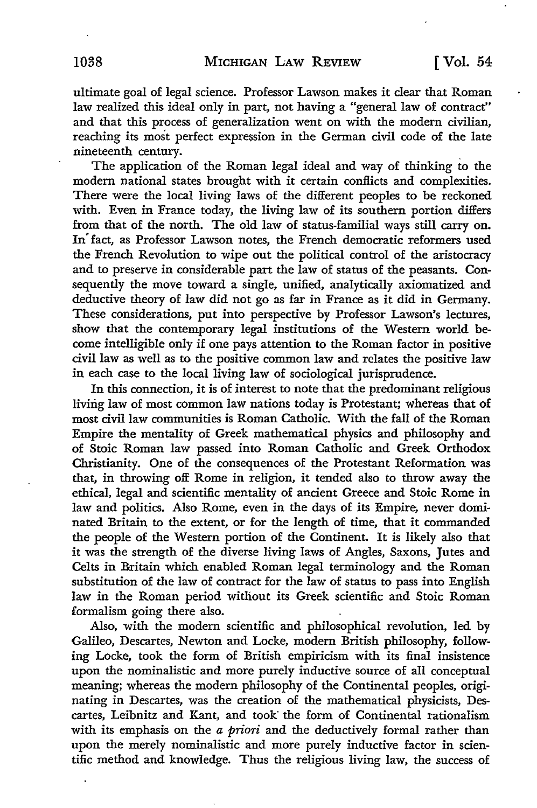ultimate goal of legal science. Professor Lawson makes it clear that Roman law realized this ideal only in part, not having a "general law of contract" and that this process of generalization went on with the modern civilian, reaching its most perfect expression in the German civil code of the late nineteenth century.

The application of the Roman legal ideal and way of thinking to the modern national states brought with it certain conflicts and complexities. There were the local living laws of the different peoples **to** be reckoned with. Even in France today, the living law of its southern portion differs from that of the north. The old law of status-familial ways still carry on. In' fact, as Professor Lawson notes, the French democratic reformers used the French Revolution to wipe out the political control of the aristocracy and to preserve in considerable part the law of status of the peasants. Consequently the move toward a single, unified, analytically axiomatized and deductive theory of law did not go as far in France as it did in Germany. These considerations, put into perspective by Professor Lawson's lectures, show that the contemporary legal institutions of the Western world become intelligible only if one pays attention to the Roman factor in positive civil law as well as to the positive common law and relates the positive law in each case to the local living law of sociological jurisprudence.

In this connection, it is of interest to note that the predominant religious living law of most common law nations today is Protestant; whereas that of most civil law communities is Roman Catholic. With the fall of the Roman Empire the mentality of Greek mathematical physics and philosophy and of Stoic Roman law passed into Roman Catholic and Greek Orthodox Christianity. One of the consequences of the Protestant Reformation was that, in throwing off Rome in religion, it tended also to throw away the ethical, legal and scientific mentality of ancient Greece and Stoic Rome in law and politics. Also Rome, even in the days of its Empire, never dominated Britain to the extent, or for the length of time, that it commanded the people of the Western portion of the Continent. It is likely also that it was the strength of the diverse living laws of Angles, Saxons, Jutes and Celts in Britain which enabled Roman legal terminology and the Roman substitution of the law of contract for the law of status to pass into English law in the Roman period without its Greek scientific and Stoic Roman formalism going there also.

Also, with the modern scientific and philosophical revolution, led by Galileo, Descartes, Newton and Locke, modern British philosophy, following Locke, took the form of British empiricism with its final insistence upon the nominalistic and more purely inductive source of all conceptual meaning; whereas the modern philosophy of the Continental peoples, originating in Descartes, was the creation of the mathematical physicists, Descartes, Leibnitz and Kant, and took" the form of Continental rationalism with its emphasis on the *a priori* and the deductively formal rather than upon the merely nominalistic and more purely inductive factor in scientific method and knowledge. Thus the religious living law, the success of